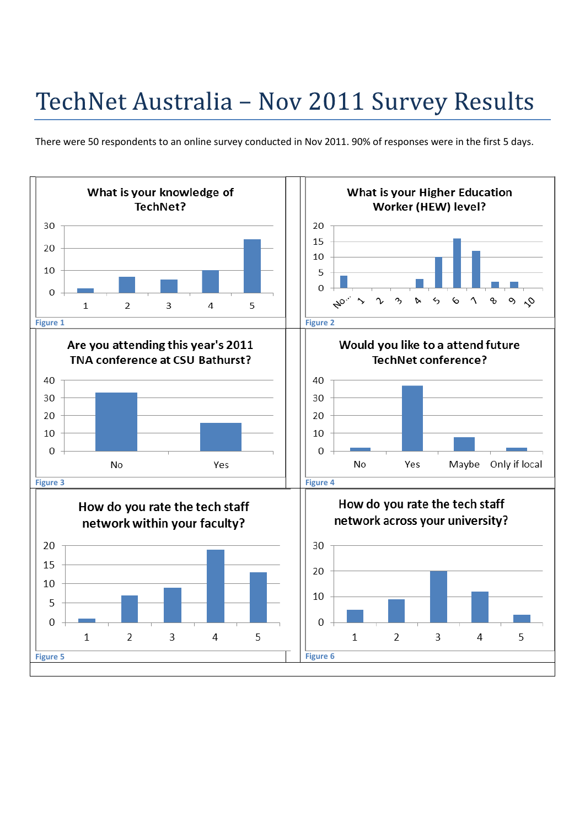## TechNet Australia - Nov 2011 Survey Results

There were 50 respondents to an online survey conducted in Nov 2011. 90% of responses were in the first 5 days.

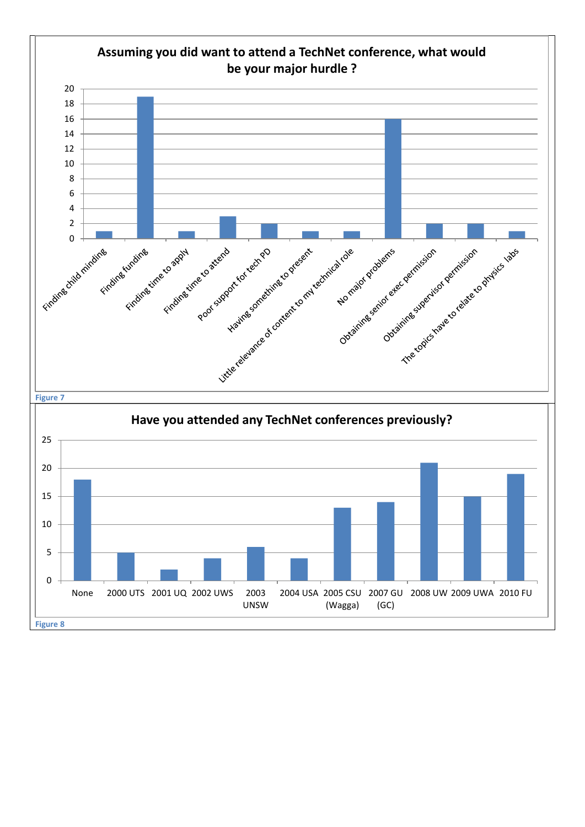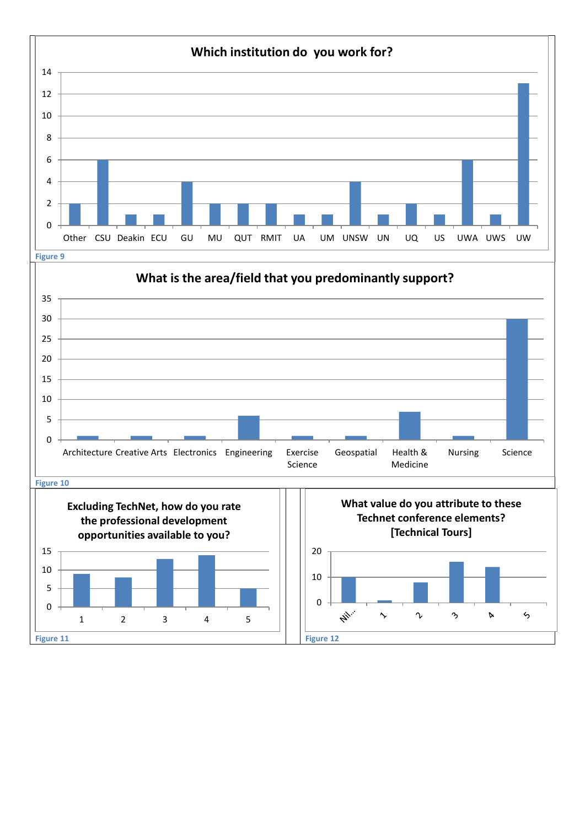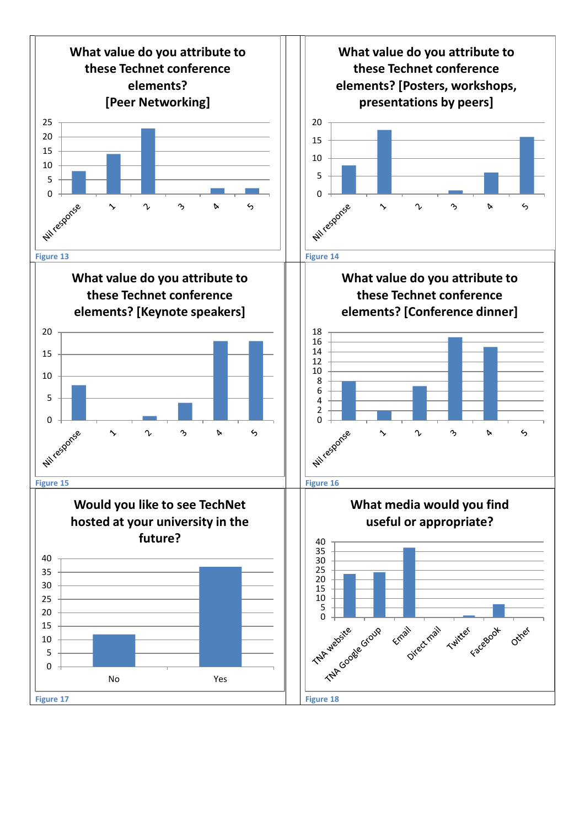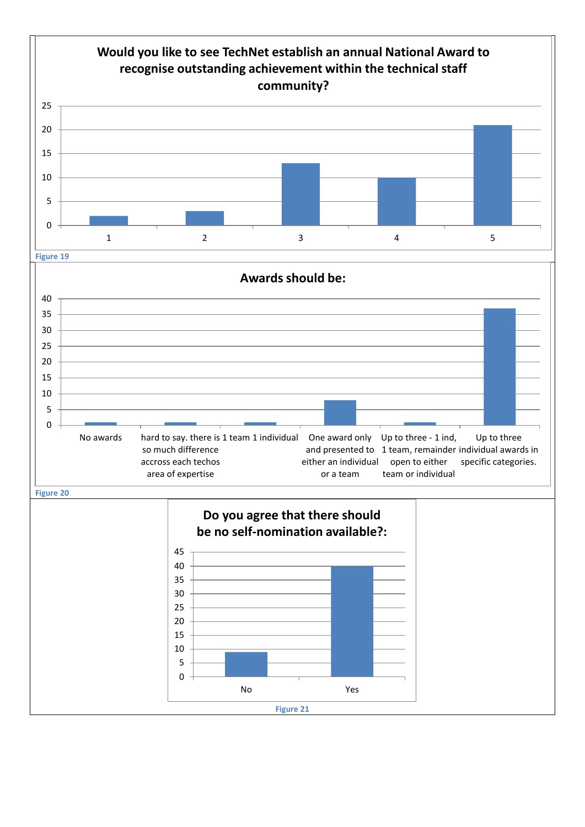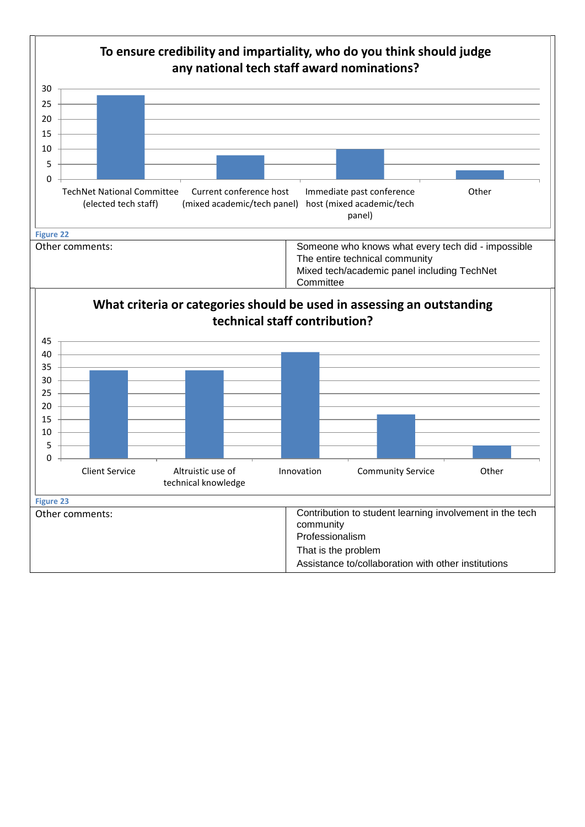